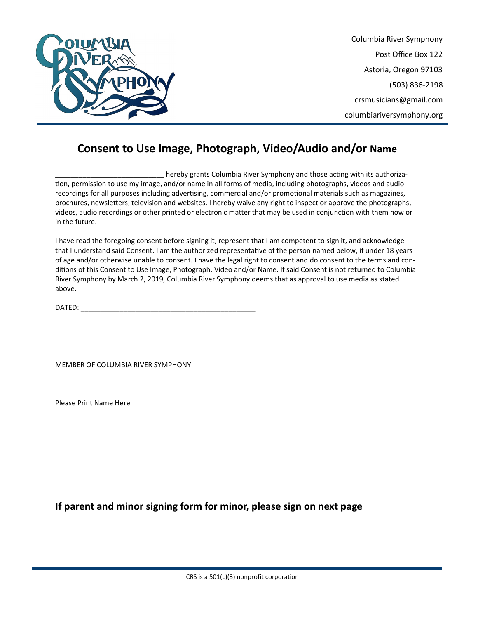

Columbia River Symphony Post Office Box 122 Astoria, Oregon 97103 (503) 836-2198 crsmusicians@gmail.com columbiariversymphony.org

## **Consent to Use Image, Photograph, Video/Audio and/or Name**

hereby grants Columbia River Symphony and those acting with its authorization, permission to use my image, and/or name in all forms of media, including photographs, videos and audio recordings for all purposes including advertising, commercial and/or promotional materials such as magazines, brochures, newsletters, television and websites. I hereby waive any right to inspect or approve the photographs, videos, audio recordings or other printed or electronic matter that may be used in conjunction with them now or in the future.

I have read the foregoing consent before signing it, represent that I am competent to sign it, and acknowledge that I understand said Consent. I am the authorized representative of the person named below, if under 18 years of age and/or otherwise unable to consent. I have the legal right to consent and do consent to the terms and conditions of this Consent to Use Image, Photograph, Video and/or Name. If said Consent is not returned to Columbia River Symphony by March 2, 2019, Columbia River Symphony deems that as approval to use media as stated above.

DATED: \_\_\_\_\_\_\_\_\_\_\_\_\_\_\_\_\_\_\_\_\_\_\_\_\_\_\_\_\_\_\_\_\_\_\_\_\_\_\_\_\_\_\_\_\_

MEMBER OF COLUMBIA RIVER SYMPHONY

\_\_\_\_\_\_\_\_\_\_\_\_\_\_\_\_\_\_\_\_\_\_\_\_\_\_\_\_\_\_\_\_\_\_\_\_\_\_\_\_\_\_\_\_\_

\_\_\_\_\_\_\_\_\_\_\_\_\_\_\_\_\_\_\_\_\_\_\_\_\_\_\_\_\_\_\_\_\_\_\_\_\_\_\_\_\_\_\_\_\_\_

Please Print Name Here

**If parent and minor signing form for minor, please sign on next page**